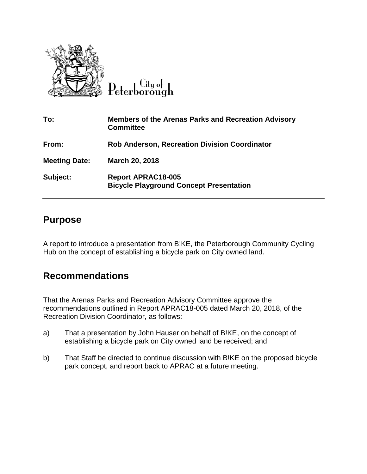

Peterborough

| To:                  | <b>Members of the Arenas Parks and Recreation Advisory</b><br><b>Committee</b> |
|----------------------|--------------------------------------------------------------------------------|
| From:                | <b>Rob Anderson, Recreation Division Coordinator</b>                           |
| <b>Meeting Date:</b> | March 20, 2018                                                                 |
| Subject:             | <b>Report APRAC18-005</b><br><b>Bicycle Playground Concept Presentation</b>    |

## **Purpose**

A report to introduce a presentation from B!KE, the Peterborough Community Cycling Hub on the concept of establishing a bicycle park on City owned land.

## **Recommendations**

That the Arenas Parks and Recreation Advisory Committee approve the recommendations outlined in Report APRAC18-005 dated March 20, 2018, of the Recreation Division Coordinator, as follows:

- a) That a presentation by John Hauser on behalf of B!KE, on the concept of establishing a bicycle park on City owned land be received; and
- b) That Staff be directed to continue discussion with B!KE on the proposed bicycle park concept, and report back to APRAC at a future meeting.